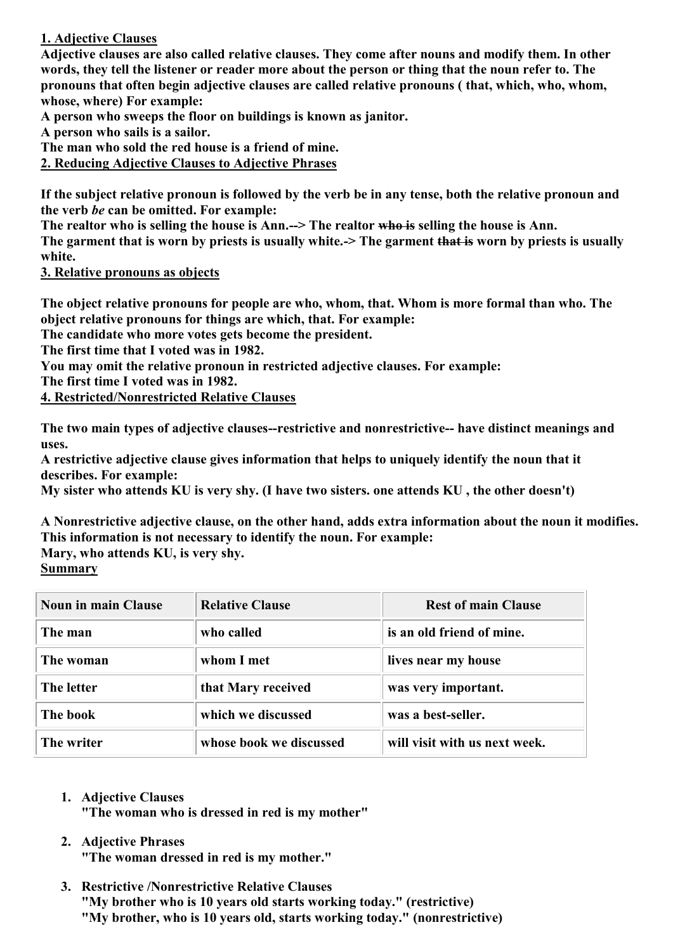## **1. Adjective Clauses**

**Adjective clauses are also called relative clauses. They come after nouns and modify them. In other words, they tell the listener or reader more about the person or thing that the noun refer to. The pronouns that often begin adjective clauses are called relative pronouns ( that, which, who, whom, whose, where) For example:**

**A person who sweeps the floor on buildings is known as janitor.**

**A person who sails is a sailor.**

**The man who sold the red house is a friend of mine.**

**2. Reducing Adjective Clauses to Adjective Phrases**

**If the subject relative pronoun is followed by the verb be in any tense, both the relative pronoun and the verb** *be* **can be omitted. For example:**

**The realtor who is selling the house is Ann.--> The realtor who is selling the house is Ann.**

**The garment that is worn by priests is usually white.-> The garment that is worn by priests is usually white.**

**3. Relative pronouns as objects**

**The object relative pronouns for people are who, whom, that. Whom is more formal than who. The object relative pronouns for things are which, that. For example:**

**The candidate who more votes gets become the president.**

**The first time that I voted was in 1982.**

**You may omit the relative pronoun in restricted adjective clauses. For example:**

**The first time I voted was in 1982.**

**4. Restricted/Nonrestricted Relative Clauses**

**The two main types of adjective clauses--restrictive and nonrestrictive-- have distinct meanings and uses.**

**A restrictive adjective clause gives information that helps to uniquely identify the noun that it describes. For example:**

**My sister who attends KU is very shy. (I have two sisters. one attends KU , the other doesn't)**

**A Nonrestrictive adjective clause, on the other hand, adds extra information about the noun it modifies. This information is not necessary to identify the noun. For example: Mary, who attends KU, is very shy.**

**Summary**

| <b>Noun in main Clause</b> | <b>Relative Clause</b>  | <b>Rest of main Clause</b>    |
|----------------------------|-------------------------|-------------------------------|
| The man                    | who called              | is an old friend of mine.     |
| The woman                  | whom I met              | lives near my house           |
| The letter                 | that Mary received      | was very important.           |
| The book                   | which we discussed      | was a best-seller.            |
| The writer                 | whose book we discussed | will visit with us next week. |

**1. Adjective Clauses**

**"The woman who is dressed in red is my mother"**

## **2. Adjective Phrases**

**"The woman dressed in red is my mother."**

**3. Restrictive /Nonrestrictive Relative Clauses "My brother who is 10 years old starts working today." (restrictive) "My brother, who is 10 years old, starts working today." (nonrestrictive)**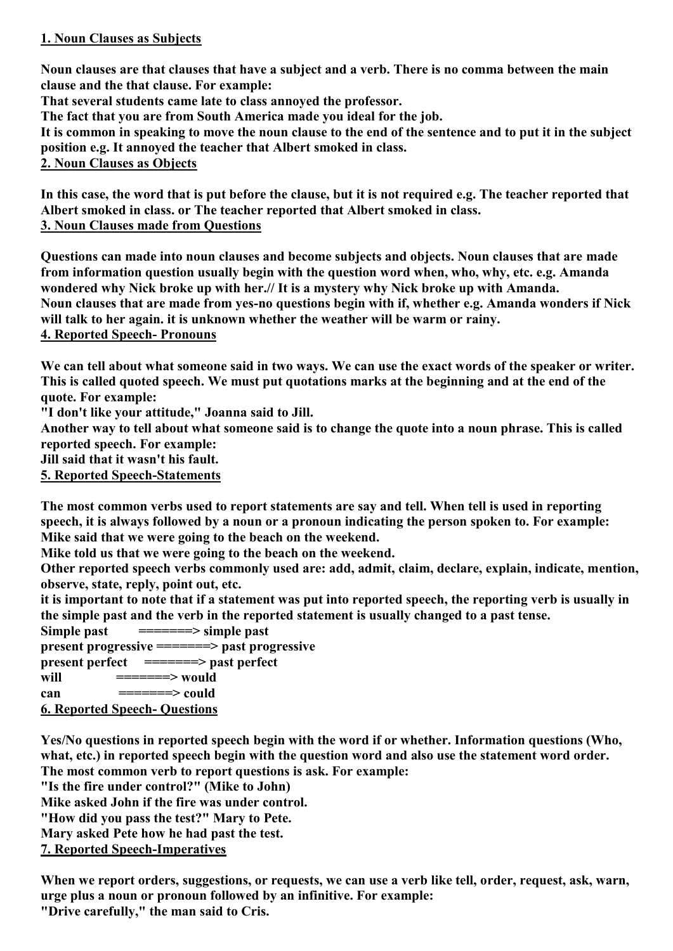## **1. Noun Clauses as Subjects**

**Noun clauses are that clauses that have a subject and a verb. There is no comma between the main clause and the that clause. For example:**

**That several students came late to class annoyed the professor.**

**The fact that you are from South America made you ideal for the job.**

**It is common in speaking to move the noun clause to the end of the sentence and to put it in the subject position e.g. It annoyed the teacher that Albert smoked in class.**

**2. Noun Clauses as Objects**

**In this case, the word that is put before the clause, but it is not required e.g. The teacher reported that Albert smoked in class. or The teacher reported that Albert smoked in class. 3. Noun Clauses made from Questions**

**Questions can made into noun clauses and become subjects and objects. Noun clauses that are made from information question usually begin with the question word when, who, why, etc. e.g. Amanda wondered why Nick broke up with her.// It is a mystery why Nick broke up with Amanda. Noun clauses that are made from yes-no questions begin with if, whether e.g. Amanda wonders if Nick will talk to her again. it is unknown whether the weather will be warm or rainy. 4. Reported Speech- Pronouns**

**We can tell about what someone said in two ways. We can use the exact words of the speaker or writer. This is called quoted speech. We must put quotations marks at the beginning and at the end of the quote. For example:**

**"I don't like your attitude," Joanna said to Jill.**

**Another way to tell about what someone said is to change the quote into a noun phrase. This is called reported speech. For example:**

**Jill said that it wasn't his fault.**

**5. Reported Speech-Statements**

**The most common verbs used to report statements are say and tell. When tell is used in reporting speech, it is always followed by a noun or a pronoun indicating the person spoken to. For example: Mike said that we were going to the beach on the weekend.**

**Mike told us that we were going to the beach on the weekend.**

**Other reported speech verbs commonly used are: add, admit, claim, declare, explain, indicate, mention, observe, state, reply, point out, etc.**

**it is important to note that if a statement was put into reported speech, the reporting verb is usually in the simple past and the verb in the reported statement is usually changed to a past tense.**

**Simple past =======> simple past**

**present progressive =======> past progressive**

**present perfect =======> past perfect**

**will**  $=$  ======> would

 $\mathsf{can}$   $\mathsf{---} \mathsf{---} \mathsf{---}$   $\mathsf{could}$ 

**6. Reported Speech- Questions**

**Yes/No questions in reported speech begin with the word if or whether. Information questions (Who, what, etc.) in reported speech begin with the question word and also use the statement word order.**

**The most common verb to report questions is ask. For example:**

**"Is the fire under control?" (Mike to John)**

**Mike asked John if the fire was under control.**

**"How did you pass the test?" Mary to Pete.**

**Mary asked Pete how he had past the test.**

**7. Reported Speech-Imperatives**

**When we report orders, suggestions, or requests, we can use a verb like tell, order, request, ask, warn, urge plus a noun or pronoun followed by an infinitive. For example: "Drive carefully," the man said to Cris.**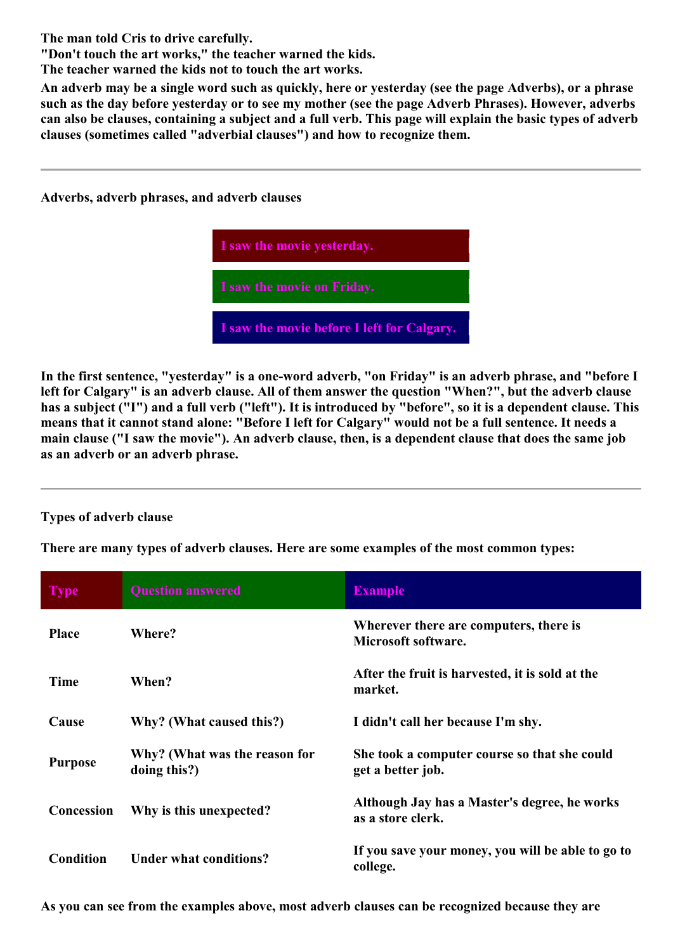**The man told Cris to drive carefully.**

**"Don't touch the art works," the teacher warned the kids.**

**The teacher warned the kids not to touch the art works.**

**An adverb may be a single word such as quickly, here or yesterday (see the page [Adverbs\)](http://web2.uvcs.uvic.ca/elc/studyzone/410/grammar/adverb.htm), or a phrase such as the day before yesterday or to see my mother (see the page [Adverb Phrases\).](http://web2.uvcs.uvic.ca/elc/studyzone/410/grammar/advphr.htm) However, adverbs can also be clauses, containing a subject and a full verb. This page will explain the basic types of adverb clauses (sometimes called "adverbial clauses") and how to recognize them.**

**Adverbs, adverb phrases, and adverb clauses**



**In the first sentence, "yesterday" is a one-word adverb, "on Friday" is an adverb phrase, and "before I left for Calgary" is an adverb clause. All of them answer the question "When?", but the adverb clause has a subject ("I") and a full verb ("left"). It is introduced by "before", so it is a dependent clause. This means that it cannot stand alone: "Before I left for Calgary" would not be a full sentence. It needs a main clause ("I saw the movie"). An adverb clause, then, is a dependent clause that does the same job as an adverb or an adverb phrase.**

## **Types of adverb clause**

**There are many types of adverb clauses. Here are some examples of the most common types:**

| <b>Type</b>    | <b>Question answered</b>                      | <b>Example</b>                                                    |
|----------------|-----------------------------------------------|-------------------------------------------------------------------|
| <b>Place</b>   | Where?                                        | Wherever there are computers, there is<br>Microsoft software.     |
| <b>Time</b>    | When?                                         | After the fruit is harvested, it is sold at the<br>market.        |
| Cause          | Why? (What caused this?)                      | I didn't call her because I'm shy.                                |
| <b>Purpose</b> | Why? (What was the reason for<br>doing this?) | She took a computer course so that she could<br>get a better job. |
| Concession     | Why is this unexpected?                       | Although Jay has a Master's degree, he works<br>as a store clerk. |
| Condition      | Under what conditions?                        | If you save your money, you will be able to go to<br>college.     |

**As you can see from the examples above, most adverb clauses can be recognized because they are**